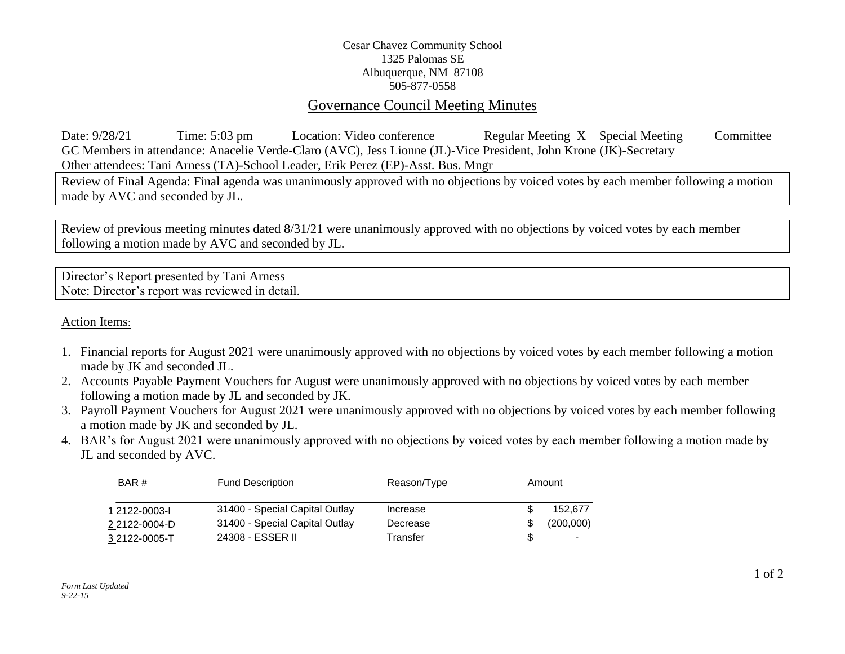## Cesar Chavez Community School 1325 Palomas SE Albuquerque, NM 87108 505-877-0558

## Governance Council Meeting Minutes

Date: 9/28/21 Time: 5:03 pm Location: Video conference Regular Meeting X Special Meeting Committee GC Members in attendance: Anacelie Verde-Claro (AVC), Jess Lionne (JL)-Vice President, John Krone (JK)-Secretary Other attendees: Tani Arness (TA)-School Leader, Erik Perez (EP)-Asst. Bus. Mngr

Review of Final Agenda: Final agenda was unanimously approved with no objections by voiced votes by each member following a motion made by AVC and seconded by JL.

Review of previous meeting minutes dated 8/31/21 were unanimously approved with no objections by voiced votes by each member following a motion made by AVC and seconded by JL.

Director's Report presented by Tani Arness Note: Director's report was reviewed in detail.

Action Items:

- 1. Financial reports for August 2021 were unanimously approved with no objections by voiced votes by each member following a motion made by JK and seconded JL.
- 2. Accounts Payable Payment Vouchers for August were unanimously approved with no objections by voiced votes by each member following a motion made by JL and seconded by JK.
- 3. Payroll Payment Vouchers for August 2021 were unanimously approved with no objections by voiced votes by each member following a motion made by JK and seconded by JL.
- 4. BAR's for August 2021 were unanimously approved with no objections by voiced votes by each member following a motion made by JL and seconded by AVC.

| BAR#          | <b>Fund Description</b>        | Reason/Type | Amount         |
|---------------|--------------------------------|-------------|----------------|
| 1 2122-0003-l | 31400 - Special Capital Outlay | Increase    | 152.677        |
| 2 2122-0004-D | 31400 - Special Capital Outlay | Decrease    | (200,000)      |
| 3 2122-0005-T | 24308 - ESSER II               | Transfer    | $\blacksquare$ |